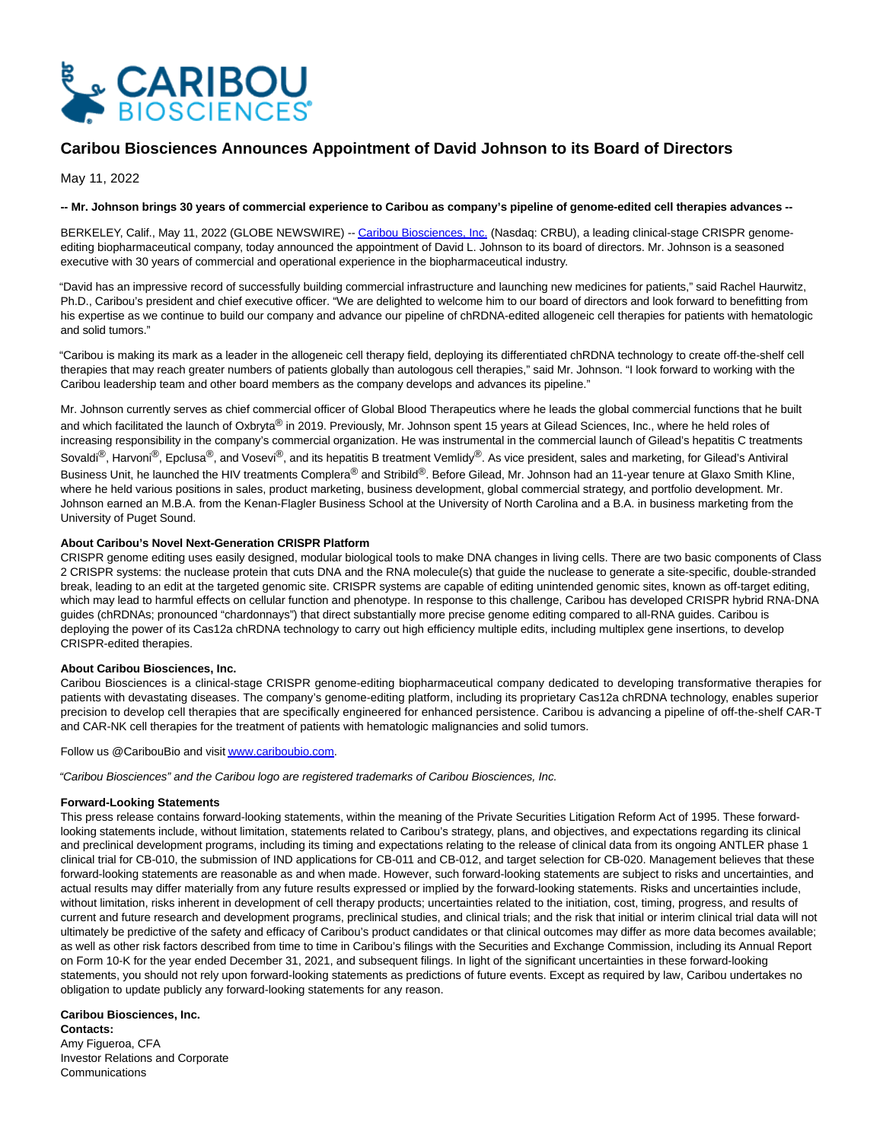

# **Caribou Biosciences Announces Appointment of David Johnson to its Board of Directors**

May 11, 2022

## **-- Mr. Johnson brings 30 years of commercial experience to Caribou as company's pipeline of genome-edited cell therapies advances --**

BERKELEY, Calif., May 11, 2022 (GLOBE NEWSWIRE) -[- Caribou Biosciences, Inc. \(](https://www.globenewswire.com/Tracker?data=obbg7P1FAz9tlwYYuUkTZ4pQ23m9Xvo2m1JfD3MhaWhKrhZ9e0B6N_fkDjzP179GrNpojx1XPcYg9eB9iJdlevEEp0UX0Ht9bV9QZws3Rks=)Nasdaq: CRBU), a leading clinical-stage CRISPR genomeediting biopharmaceutical company, today announced the appointment of David L. Johnson to its board of directors. Mr. Johnson is a seasoned executive with 30 years of commercial and operational experience in the biopharmaceutical industry.

"David has an impressive record of successfully building commercial infrastructure and launching new medicines for patients," said Rachel Haurwitz, Ph.D., Caribou's president and chief executive officer. "We are delighted to welcome him to our board of directors and look forward to benefitting from his expertise as we continue to build our company and advance our pipeline of chRDNA-edited allogeneic cell therapies for patients with hematologic and solid tumors."

"Caribou is making its mark as a leader in the allogeneic cell therapy field, deploying its differentiated chRDNA technology to create off-the-shelf cell therapies that may reach greater numbers of patients globally than autologous cell therapies," said Mr. Johnson. "I look forward to working with the Caribou leadership team and other board members as the company develops and advances its pipeline."

Mr. Johnson currently serves as chief commercial officer of Global Blood Therapeutics where he leads the global commercial functions that he built and which facilitated the launch of Oxbryta® in 2019. Previously, Mr. Johnson spent 15 years at Gilead Sciences, Inc., where he held roles of increasing responsibility in the company's commercial organization. He was instrumental in the commercial launch of Gilead's hepatitis C treatments Sovaldi<sup>®</sup>, Harvoni<sup>®</sup>, Epclusa<sup>®</sup>, and Vosevi<sup>®</sup>, and its hepatitis B treatment Vemlidy<sup>®</sup>. As vice president, sales and marketing, for Gilead's Antiviral Business Unit, he launched the HIV treatments Complera® and Stribild®. Before Gilead, Mr. Johnson had an 11-year tenure at Glaxo Smith Kline, where he held various positions in sales, product marketing, business development, global commercial strategy, and portfolio development. Mr. Johnson earned an M.B.A. from the Kenan-Flagler Business School at the University of North Carolina and a B.A. in business marketing from the University of Puget Sound.

### **About Caribou's Novel Next-Generation CRISPR Platform**

CRISPR genome editing uses easily designed, modular biological tools to make DNA changes in living cells. There are two basic components of Class 2 CRISPR systems: the nuclease protein that cuts DNA and the RNA molecule(s) that guide the nuclease to generate a site-specific, double-stranded break, leading to an edit at the targeted genomic site. CRISPR systems are capable of editing unintended genomic sites, known as off-target editing, which may lead to harmful effects on cellular function and phenotype. In response to this challenge, Caribou has developed CRISPR hybrid RNA-DNA guides (chRDNAs; pronounced "chardonnays") that direct substantially more precise genome editing compared to all-RNA guides. Caribou is deploying the power of its Cas12a chRDNA technology to carry out high efficiency multiple edits, including multiplex gene insertions, to develop CRISPR-edited therapies.

### **About Caribou Biosciences, Inc.**

Caribou Biosciences is a clinical-stage CRISPR genome-editing biopharmaceutical company dedicated to developing transformative therapies for patients with devastating diseases. The company's genome-editing platform, including its proprietary Cas12a chRDNA technology, enables superior precision to develop cell therapies that are specifically engineered for enhanced persistence. Caribou is advancing a pipeline of off-the-shelf CAR-T and CAR-NK cell therapies for the treatment of patients with hematologic malignancies and solid tumors.

Follow us @CaribouBio and visi[t www.cariboubio.com.](https://www.globenewswire.com/Tracker?data=cS-sL4R-Vr_7F3JZ2inb0uJt5wYTsjUkV5vrlic5BJsTQpbpquMtdMV4gmTnQk8ASWDdvGDFdhWeEoS9PFTkS8QLhSGB_WrCubDaf7XLISs=)

"Caribou Biosciences" and the Caribou logo are registered trademarks of Caribou Biosciences, Inc.

### **Forward-Looking Statements**

This press release contains forward-looking statements, within the meaning of the Private Securities Litigation Reform Act of 1995. These forwardlooking statements include, without limitation, statements related to Caribou's strategy, plans, and objectives, and expectations regarding its clinical and preclinical development programs, including its timing and expectations relating to the release of clinical data from its ongoing ANTLER phase 1 clinical trial for CB-010, the submission of IND applications for CB-011 and CB-012, and target selection for CB-020. Management believes that these forward-looking statements are reasonable as and when made. However, such forward-looking statements are subject to risks and uncertainties, and actual results may differ materially from any future results expressed or implied by the forward-looking statements. Risks and uncertainties include, without limitation, risks inherent in development of cell therapy products; uncertainties related to the initiation, cost, timing, progress, and results of current and future research and development programs, preclinical studies, and clinical trials; and the risk that initial or interim clinical trial data will not ultimately be predictive of the safety and efficacy of Caribou's product candidates or that clinical outcomes may differ as more data becomes available; as well as other risk factors described from time to time in Caribou's filings with the Securities and Exchange Commission, including its Annual Report on Form 10-K for the year ended December 31, 2021, and subsequent filings. In light of the significant uncertainties in these forward-looking statements, you should not rely upon forward-looking statements as predictions of future events. Except as required by law, Caribou undertakes no obligation to update publicly any forward-looking statements for any reason.

#### **Caribou Biosciences, Inc. Contacts:**

Amy Figueroa, CFA Investor Relations and Corporate Communications